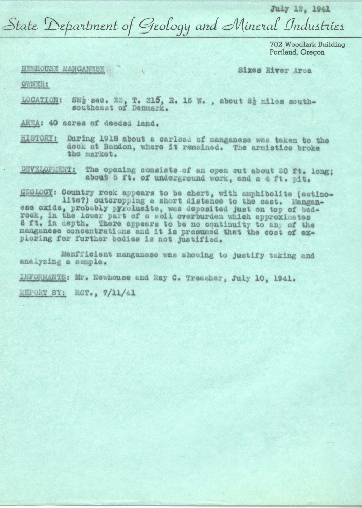July 12, 1941

State Department of Geology and Mineral Industries

702 Woodlark Building Portland, Oregon

NEWHOUSE MANGANESE

Sixes River Area

OWNER:

SWg sec. 23, T. 315, R. 15 W., about 2} miles south-LOCATION: southeast of Denmark.

AREA: 40 acres of deeded land.

During 1918 about a carload of manganese was taken to the HISTORY: dock at Bandon, where it remained. The armistice broke the market.

DEVELOPMENT: The opening consists of an open cut about 20 ft. long; about 5 ft. of underground work, and a 4 ft. pit.

GEOLOGY: Country rock appears to be chert, with amphibolite (actinolite?) outcropping a short distance to the east. Manganese oxide, probably pyrolusite, was deposited just on top of bedrock, in the lower part of a soil overburden which approximates 6 ft. in depth. There appears to be no continuity to any of the manganese concentrations and it is presumed that the cost of exploring for further bodies is not justified.

Manfficient manganese was showing to justify taking and analyzing a sample.

INFORMANTS: Mr. Newhouse and Ray C. Treasher, July 10, 1941.

REPORT BY: ROT., 7/11/41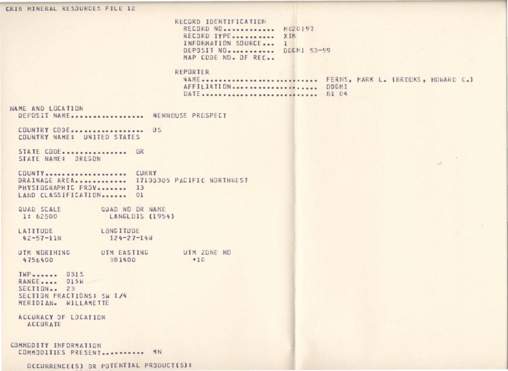CRIB MINERAL RESOURCES FILE 12

RECORD IDENTIFICATION RECORD NO. ............ M020197 RECORD TYPE........... XIN INFORMATION SOURCE... 1 DEPOSIT NO. ........... DDGM1 93-99 MAP CODE NO. OF REC.

## REPORTER

NAME ............................. FERNS, MARK L. (BROOKS, HOWARD C.) AFFILIATION ..................... ODGMI DATE .............................. 81 04

NAME AND LOCATION

DEPOSIT NAME................. NEWHOUSE PROSPECT

COUNTRY CODE................... US COUNTRY NAME: UNITED STATES

STATE CODE............... OR STATE NAME: OREGON

COUNTY.................... CURRY DRAINAGE AREA............ 17100305 PACIFIC NORTHWEST PHYSIOGRAPHIC PROV........ 13 LAND CLASSIFICATION....... 01

QUAD SCALE QUAD ND DR NAME 1: 62500 LANGLDIS (1954)

LONG ITUDE LATITUDE  $42 - 57 - 11N$  $124 - 27 - 14W$ 

UTM NORTHING UTM EASTING UTM ZONE NO 4756400 381400  $+10$ 

 $INP_{\text{m}}$ RANGE.... 015W SECTION.. 23 SECTION FRACTIONS: SW 1/4 MERIDIAN. WILLAMETTE

ACCURACY OF LOCATION ACCURATE

COMMODITY INFORMATION COMMODITIES PRESENT............ MN

DCCURRENCE(S) OR POTENTIAL PRODUCT(S):